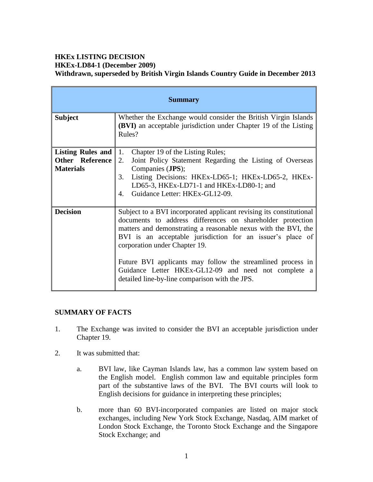## **HKEx LISTING DECISION HKEx-LD84-1 (December 2009) Withdrawn, superseded by British Virgin Islands Country Guide in December 2013**

| <b>Summary</b>                                                  |                                                                                                                                                                                                                                                                                                                                                                                                                                                                             |  |  |
|-----------------------------------------------------------------|-----------------------------------------------------------------------------------------------------------------------------------------------------------------------------------------------------------------------------------------------------------------------------------------------------------------------------------------------------------------------------------------------------------------------------------------------------------------------------|--|--|
| <b>Subject</b>                                                  | Whether the Exchange would consider the British Virgin Islands<br><b>(BVI)</b> an acceptable jurisdiction under Chapter 19 of the Listing<br>Rules?                                                                                                                                                                                                                                                                                                                         |  |  |
| Listing Rules and<br><b>Other Reference</b><br><b>Materials</b> | 1.<br>Chapter 19 of the Listing Rules;<br>2.<br>Joint Policy Statement Regarding the Listing of Overseas<br>Companies (JPS);<br>3.<br>Listing Decisions: HKEx-LD65-1; HKEx-LD65-2, HKEx-<br>LD65-3, HKEx-LD71-1 and HKEx-LD80-1; and<br>Guidance Letter: HKEx-GL12-09.<br>4.                                                                                                                                                                                                |  |  |
| <b>Decision</b>                                                 | Subject to a BVI incorporated applicant revising its constitutional<br>documents to address differences on shareholder protection<br>matters and demonstrating a reasonable nexus with the BVI, the<br>BVI is an acceptable jurisdiction for an issuer's place of<br>corporation under Chapter 19.<br>Future BVI applicants may follow the streamlined process in<br>Guidance Letter HKEx-GL12-09 and need not complete a<br>detailed line-by-line comparison with the JPS. |  |  |

## **SUMMARY OF FACTS**

- 1. The Exchange was invited to consider the BVI an acceptable jurisdiction under Chapter 19.
- 2. It was submitted that:
	- a. BVI law, like Cayman Islands law, has a common law system based on the English model. English common law and equitable principles form part of the substantive laws of the BVI. The BVI courts will look to English decisions for guidance in interpreting these principles;
	- b. more than 60 BVI-incorporated companies are listed on major stock exchanges, including New York Stock Exchange, Nasdaq, AIM market of London Stock Exchange, the Toronto Stock Exchange and the Singapore Stock Exchange; and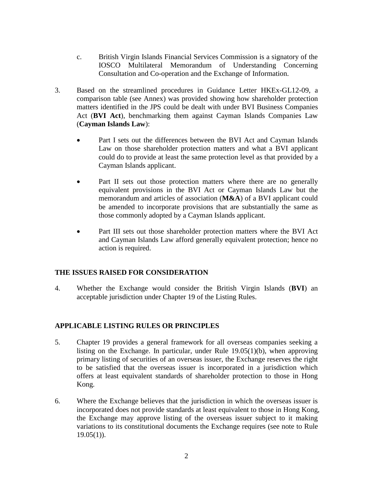- c. British Virgin Islands Financial Services Commission is a signatory of the IOSCO Multilateral Memorandum of Understanding Concerning Consultation and Co-operation and the Exchange of Information.
- 3. Based on the streamlined procedures in Guidance Letter HKEx-GL12-09, a comparison table (see Annex) was provided showing how shareholder protection matters identified in the JPS could be dealt with under BVI Business Companies Act (**BVI Act**), benchmarking them against Cayman Islands Companies Law (**Cayman Islands Law**):
	- Part I sets out the differences between the BVI Act and Cayman Islands Law on those shareholder protection matters and what a BVI applicant could do to provide at least the same protection level as that provided by a Cayman Islands applicant.
	- Part II sets out those protection matters where there are no generally equivalent provisions in the BVI Act or Cayman Islands Law but the memorandum and articles of association (**M&A**) of a BVI applicant could be amended to incorporate provisions that are substantially the same as those commonly adopted by a Cayman Islands applicant.
	- Part III sets out those shareholder protection matters where the BVI Act and Cayman Islands Law afford generally equivalent protection; hence no action is required.

## **THE ISSUES RAISED FOR CONSIDERATION**

4. Whether the Exchange would consider the British Virgin Islands (**BVI**) an acceptable jurisdiction under Chapter 19 of the Listing Rules.

#### **APPLICABLE LISTING RULES OR PRINCIPLES**

- 5. Chapter 19 provides a general framework for all overseas companies seeking a listing on the Exchange. In particular, under Rule 19.05(1)(b), when approving primary listing of securities of an overseas issuer, the Exchange reserves the right to be satisfied that the overseas issuer is incorporated in a jurisdiction which offers at least equivalent standards of shareholder protection to those in Hong Kong.
- 6. Where the Exchange believes that the jurisdiction in which the overseas issuer is incorporated does not provide standards at least equivalent to those in Hong Kong, the Exchange may approve listing of the overseas issuer subject to it making variations to its constitutional documents the Exchange requires (see note to Rule  $19.05(1)$ ).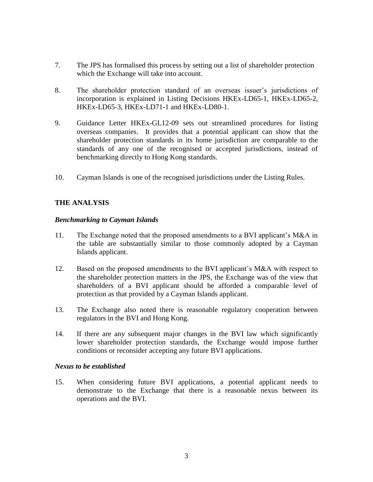- 7. The JPS has formalised this process by setting out a list of shareholder protection which the Exchange will take into account.
- 8. The shareholder protection standard of an overseas issuer's jurisdictions of incorporation is explained in Listing Decisions HKEx-LD65-1, HKEx-LD65-2, HKEx-LD65-3, HKEx-LD71-1 and HKEx-LD80-1.
- 9. Guidance Letter HKEx-GL12-09 sets out streamlined procedures for listing overseas companies. It provides that a potential applicant can show that the shareholder protection standards in its home jurisdiction are comparable to the standards of any one of the recognised or accepted jurisdictions, instead of benchmarking directly to Hong Kong standards.
- 10. Cayman Islands is one of the recognised jurisdictions under the Listing Rules.

## **THE ANALYSIS**

#### *Benchmarking to Cayman Islands*

- 11. The Exchange noted that the proposed amendments to a BVI applicant's M&A in the table are substantially similar to those commonly adopted by a Cayman Islands applicant.
- 12. Based on the proposed amendments to the BVI applicant's M&A with respect to the shareholder protection matters in the JPS, the Exchange was of the view that shareholders of a BVI applicant should be afforded a comparable level of protection as that provided by a Cayman Islands applicant.
- 13. The Exchange also noted there is reasonable regulatory cooperation between regulators in the BVI and Hong Kong.
- 14. If there are any subsequent major changes in the BVI law which significantly lower shareholder protection standards, the Exchange would impose further conditions or reconsider accepting any future BVI applications.

#### *Nexus to be established*

15. When considering future BVI applications, a potential applicant needs to demonstrate to the Exchange that there is a reasonable nexus between its operations and the BVI.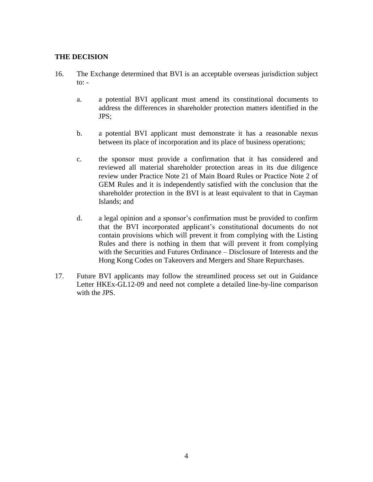#### **THE DECISION**

- 16. The Exchange determined that BVI is an acceptable overseas jurisdiction subject to:  $$ 
	- a. a potential BVI applicant must amend its constitutional documents to address the differences in shareholder protection matters identified in the JPS;
	- b. a potential BVI applicant must demonstrate it has a reasonable nexus between its place of incorporation and its place of business operations;
	- c. the sponsor must provide a confirmation that it has considered and reviewed all material shareholder protection areas in its due diligence review under Practice Note 21 of Main Board Rules or Practice Note 2 of GEM Rules and it is independently satisfied with the conclusion that the shareholder protection in the BVI is at least equivalent to that in Cayman Islands; and
	- d. a legal opinion and a sponsor's confirmation must be provided to confirm that the BVI incorporated applicant's constitutional documents do not contain provisions which will prevent it from complying with the Listing Rules and there is nothing in them that will prevent it from complying with the Securities and Futures Ordinance – Disclosure of Interests and the Hong Kong Codes on Takeovers and Mergers and Share Repurchases.
- 17. Future BVI applicants may follow the streamlined process set out in Guidance Letter HKEx-GL12-09 and need not complete a detailed line-by-line comparison with the JPS.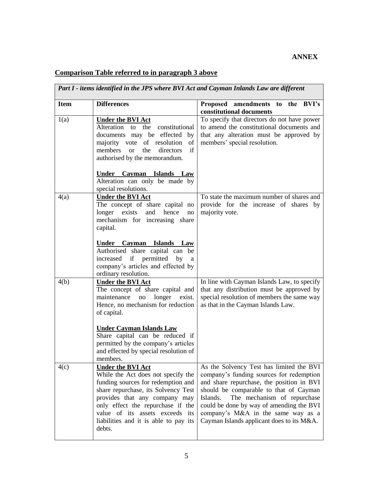# **ANNEX**

# **Comparison Table referred to in paragraph 3 above**

| Part I - items identified in the JPS where BVI Act and Cayman Inlands Law are different |                                                                           |                                                                                     |  |
|-----------------------------------------------------------------------------------------|---------------------------------------------------------------------------|-------------------------------------------------------------------------------------|--|
| <b>Item</b>                                                                             | <b>Differences</b>                                                        | Proposed amendments to the BVI's<br>constitutional documents                        |  |
| 1(a)                                                                                    | <b>Under the BVI Act</b>                                                  | To specify that directors do not have power                                         |  |
|                                                                                         | Alteration to the constitutional                                          | to amend the constitutional documents and                                           |  |
|                                                                                         | documents may be effected by                                              | that any alteration must be approved by                                             |  |
|                                                                                         | majority vote of resolution<br>of                                         | members' special resolution.                                                        |  |
|                                                                                         | if<br>members<br>the<br>directors<br><b>or</b>                            |                                                                                     |  |
|                                                                                         | authorised by the memorandum.                                             |                                                                                     |  |
|                                                                                         | Islands Law<br>Under Cayman                                               |                                                                                     |  |
|                                                                                         | Alteration can only be made by                                            |                                                                                     |  |
|                                                                                         | special resolutions.                                                      |                                                                                     |  |
| 4(a)                                                                                    | <b>Under the BVI Act</b>                                                  | To state the maximum number of shares and                                           |  |
|                                                                                         | The concept of share capital no                                           | provide for the increase of shares by                                               |  |
|                                                                                         | exists<br>and<br>hence<br>longer<br>no                                    | majority vote.                                                                      |  |
|                                                                                         | mechanism for increasing share                                            |                                                                                     |  |
|                                                                                         | capital.                                                                  |                                                                                     |  |
|                                                                                         | Under Cayman Islands Law                                                  |                                                                                     |  |
|                                                                                         | Authorised share capital can be                                           |                                                                                     |  |
|                                                                                         | increased if permitted by<br>a                                            |                                                                                     |  |
|                                                                                         | company's articles and effected by                                        |                                                                                     |  |
|                                                                                         | ordinary resolution.                                                      |                                                                                     |  |
| 4(b)                                                                                    | <b>Under the BVI Act</b>                                                  | In line with Cayman Islands Law, to specify                                         |  |
|                                                                                         | The concept of share capital and                                          | that any distribution must be approved by                                           |  |
|                                                                                         | maintenance<br>longer<br>no<br>exist.                                     | special resolution of members the same way                                          |  |
|                                                                                         | Hence, no mechanism for reduction                                         | as that in the Cayman Islands Law.                                                  |  |
|                                                                                         | of capital.                                                               |                                                                                     |  |
|                                                                                         | <b>Under Cayman Islands Law</b>                                           |                                                                                     |  |
|                                                                                         | Share capital can be reduced if                                           |                                                                                     |  |
|                                                                                         | permitted by the company's articles                                       |                                                                                     |  |
|                                                                                         | and effected by special resolution of                                     |                                                                                     |  |
|                                                                                         | members.                                                                  |                                                                                     |  |
| 4(c)                                                                                    | <b>Under the BVI Act</b>                                                  | As the Solvency Test has limited the BVI                                            |  |
|                                                                                         | While the Act does not specify the                                        | company's funding sources for redemption                                            |  |
|                                                                                         | funding sources for redemption and<br>share repurchase, its Solvency Test | and share repurchase, the position in BVI<br>should be comparable to that of Cayman |  |
|                                                                                         | provides that any company may                                             | The mechanism of repurchase<br>Islands.                                             |  |
|                                                                                         | only effect the repurchase if the                                         | could be done by way of amending the BVI                                            |  |
|                                                                                         | value of its assets exceeds its                                           | company's M&A in the same way as a                                                  |  |
|                                                                                         | liabilities and it is able to pay its                                     | Cayman Islands applicant does to its M&A.                                           |  |
|                                                                                         | debts.                                                                    |                                                                                     |  |
|                                                                                         |                                                                           |                                                                                     |  |